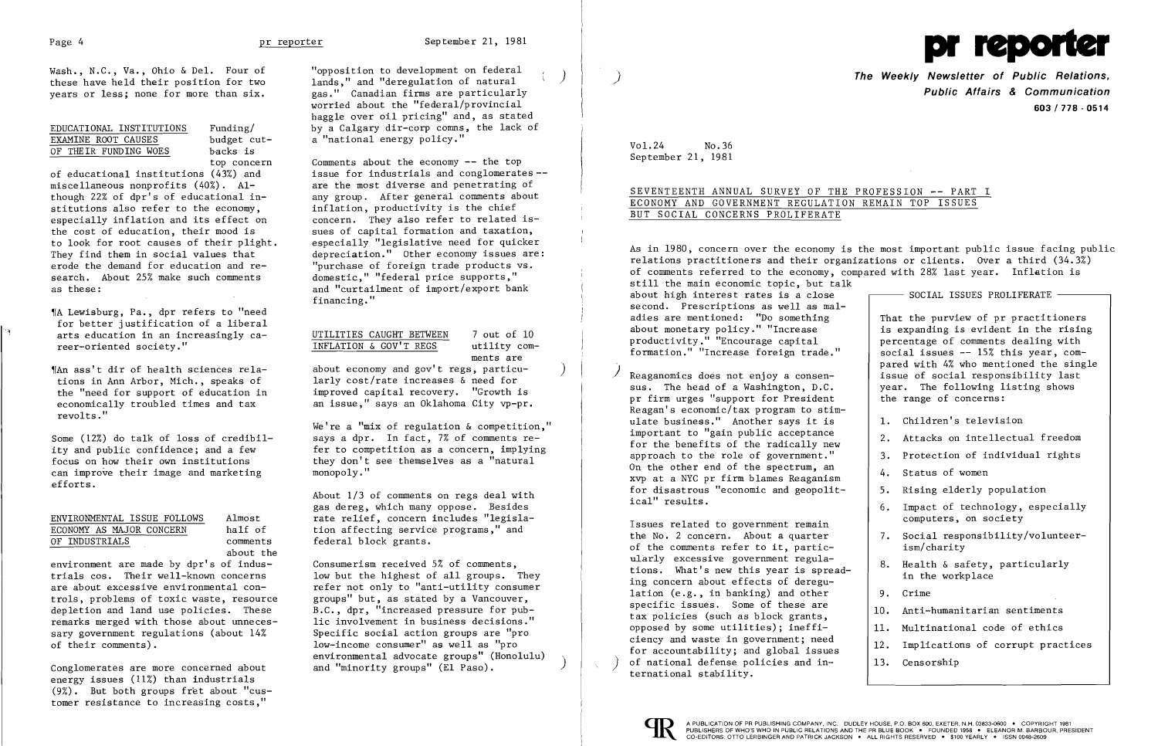

Wash., N.C., Va., Ohio & Del. Four of these have held their position for two years or less; none for more than six.

| EDUCATIONAL INSTITUTIONS | Funding/   |
|--------------------------|------------|
| EXAMINE ROOT CAUSES      | budget cut |
| OF THEIR FUNDING WOES    | backs is   |

top concern

"A Lewisburg, Pa., dpr refers to "need for better justification of a liberal arts education in an increasingly career-oriented society."

of educational institutions (43%) and miscellaneous nonprofits (40%). Although 22% of dpr's of educational institutions also refer to the economy, especially inflation and its effect on the cost of education, their mood is to look for root causes of their plight. They find them in social values that erode the demand for education and research. About 25% make such comments as these:

"|An ass't dir of health sciences relations in Ann Arbor, Mich., speaks of the "need for support of education in economically troubled times and tax revolts."

Some (12%) do talk of loss of credibility and public confidence; and a few focus on how their own institutions can improve their image and marketing efforts.

| ENVIRONMENTAL ISSUE FOLLOWS | Almost    |
|-----------------------------|-----------|
| ECONOMY AS MAJOR CONCERN    | half of   |
| OF INDUSTRIALS              | comments  |
|                             | about the |

Comments about the economy  $-$ - the top issue for industrials and conglomerates are the most diverse and penetrating of any group. After general comments about inflation, productivity is the chief concern. They also refer to related issues of capital formation and taxation, especially "legislative need for quicker depreciation." Other economy issues are: "purchase of foreign trade products vs. domestic," "federal price supports," and "curtailment of import/export bank financing."

about economy and gov't regs, particularly cost/rate increases & need for improved capital recovery. "Growth is an issue," says an Oklahoma City vp-pr.

environment are made by dpr's of industrials cos. Their well-known concerns are about excessive environmental controls, problems of toxic waste, resource depletion and land use policies. These remarks merged with those about unnecessary government regulations (about 14% of their comments).

Consumerism received 5% of comments, low but the highest of all groups. They refer not only to "anti-utility consumer groups" but, as stated by a Vancouver, B.C., dpr, "increased pressure for public involvement in business decisions." Specific social action groups are "pro low-income consumer" as well as "pro environmental advocate groups" (Honolulu) and "minority groups" (El Paso).

Conglomerates are more concerned about energy issues (11%) than industrials (9%) . But both groups fret about "customer resistance to increasing costs,"

**The Weekly Newsletter of Public Relations, Public Affairs & Communication 603/778·0514** 

"opposition to development on federal ) lands," and "deregulation of natural gas." Canadian firms are particularly worried about the "federal/provincial haggle over oil pricing" and, as stated by a Calgary dir-corp comms, the lack of a "national energy policy."

## SEVENTEENTH ANNUAL SURVEY OF THE PROFESSION -- PART I ECONOMY AND GOVERNMENT REGULATION REMAIN TOP ISSUES BUT SOCIAL CONCERNS PROLIFERATE

As in 1980, concern over the economy is the most important public issue facing public relations practitioners and their organizations or clients. Over a third (34.3%) of comments referred to the economy, compared with 28% last year. Inflation is still the main economic topic, but talk about high interest rates is a close - SOCIAL ISSUES PROLIFERATE second. Prescriptions as well as mal adies are mentioned: "Do something That the purview of pr practitioners<br>is expanding is evident in the rising about monetary policy." "Increase  $\begin{array}{|l|} \hline \text{is expanding is evident in the rising}\\ \hline \text{producityity."} \hline \end{array}$  "Encourage capital  $\begin{array}{|l|} \hline \text{is expanding is evident in the rising}\\ \hline \text{percentre of comments dealing with} \end{array}$ productivity." "Encourage capital percentage of comments dealing with<br>formation." "Increase foreign trade." | social issues -- 15% this year, comformation." "Increase foreign trade." pared with 4% who mentioned the single Reaganomics does not enjoy a consen-  $\vert$  issue of social responsibility last sus. The head of a Washington, D.C.  $\qquad$  year. The following listing shows the range of concerns:

- 1. Children's television
- 
- 
- 
- 
- 6. Impact of technology, especially
- 7. Social responsibility/volunteer-
- 
- 
- 
- 
- 
- 

## UTILITIES CAUGHT BETWEEN 7 out of 10 INFLATION & GOV'T REGS utility com-

ments are

pr firm urges "support for President Reagan's economic/tax program to stim ulate business." Another says it is important to "gain public acceptance Important to gain public acceptance<br>for the benefits of the radically new  $\begin{vmatrix} 2 \\ 2 \end{vmatrix}$ . Attacks on intellectual freedom approach to the role of government."  $\vert$  3. Protection of individual rights On the other end of the spectrum, an 4. Status of women xvp at a NYC pr firm blames Reaganism for disastrous "economic and geopolit-  $\begin{vmatrix} 5 \\ 5 \end{vmatrix}$ . Rising elderly population ical" results.

We're a "mix of regulation & competition," says a dpr. In fact, 7% of comments refer to competition as a concern, implying they don't see themselves as a "natural monopoly."

> Issues related to government remain and the No. 2 computers, on society<br>the No. 2 concern. About a quarter and 7. Social responsibility of the comments refer to it, partic-  $\vert$  ism/charity ularly excessive government reguladiarry excessive government regula-<br>tions. What's new this year is spread-<br>in the workplace<br>in the workplace lation  $(e.g., in banking)$  and other  $9.$  Crime specific issues. Some of these are  $\begin{array}{|l|} \hline \texttt{10.} & \texttt{Anti-humann} \texttt{t} \texttt{a} \texttt{s} & \texttt{sentism} \texttt{e} \texttt{a} \texttt{t} & \texttt{a} \texttt{t} \texttt{d} \texttt{t} & \texttt{a} \texttt{t} \texttt{d} \texttt{t} & \texttt{a} \texttt{t} \texttt{d} \texttt{t} & \texttt{a} \texttt{t} \texttt{d} \texttt{t} & \texttt{a} \texttt{t$ tax policies (such as block grants,<br>opposed by some utilities); ineffi-<br>ciency and waste in government; need<br> $\begin{bmatrix} 10.6 & 0.01 & 0.01 & 0.01 & 0.01 & 0.01 & 0.01 & 0.01 & 0.01 & 0.01 & 0.01 & 0.01 & 0.01 &$ ciency and waste in government, need  $\begin{bmatrix} 12. \end{bmatrix}$  Implications of corrupt practices for accountability; and global issues of national defense policies and  $in$   $\lceil 13.$  Censorship ternational stability.



About 1/3 of comments on regs deal with gas dereg, which many oppose. Besides rate relief, concern includes "legislation affecting service programs," and federal block grants.

Vo1.24 No.36 September 21, 1981